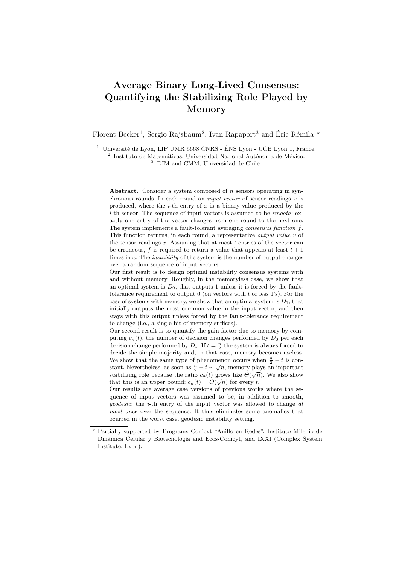# Average Binary Long-Lived Consensus: Quantifying the Stabilizing Role Played by Memory

Florent Becker<sup>1</sup>, Sergio Rajsbaum<sup>2</sup>, Ivan Rapaport<sup>3</sup> and Éric Rémila<sup>1\*</sup>

<sup>1</sup> Université de Lyon, LIP UMR 5668 CNRS - ÉNS Lyon - UCB Lyon 1, France.  $^2$  Instituto de Matemáticas, Universidad Nacional Autónoma de México. <sup>3</sup> DIM and CMM, Universidad de Chile.

Abstract. Consider a system composed of  $n$  sensors operating in synchronous rounds. In each round an *input vector* of sensor readings  $x$  is produced, where the  $i$ -th entry of  $x$  is a binary value produced by the i-th sensor. The sequence of input vectors is assumed to be smooth: exactly one entry of the vector changes from one round to the next one. The system implements a fault-tolerant averaging consensus function f. This function returns, in each round, a representative output value v of the sensor readings  $x$ . Assuming that at most  $t$  entries of the vector can be erroneous, f is required to return a value that appears at least  $t + 1$ times in  $x$ . The *instability* of the system is the number of output changes over a random sequence of input vectors.

Our first result is to design optimal instability consensus systems with and without memory. Roughly, in the memoryless case, we show that an optimal system is  $D_0$ , that outputs 1 unless it is forced by the faulttolerance requirement to output  $0$  (on vectors with t or less 1's). For the case of systems with memory, we show that an optimal system is  $D_1$ , that initially outputs the most common value in the input vector, and then stays with this output unless forced by the fault-tolerance requirement to change (i.e., a single bit of memory suffices).

Our second result is to quantify the gain factor due to memory by computing  $c_n(t)$ , the number of decision changes performed by  $D_0$  per each decision change performed by  $D_1$ . If  $t = \frac{n}{2}$  the system is always forced to decide the simple majority and, in that case, memory becomes useless. We show that the same type of phenomenon occurs when  $\frac{n}{2} - t$  is constant. Nevertheless, as soon as  $\frac{n}{2} - t \sim \sqrt{n}$ , memory plays an important stabilizing role because the ratio  $c_n(t)$  grows like  $\Theta(\sqrt{n})$ . We also show that this is an upper bound:  $c_n(t) = O(\sqrt{n})$  for every t.

Our results are average case versions of previous works where the sequence of input vectors was assumed to be, in addition to smooth, geodesic: the i-th entry of the input vector was allowed to change at most once over the sequence. It thus eliminates some anomalies that ocurred in the worst case, geodesic instability setting.

<sup>⋆</sup> Partially supported by Programs Conicyt "Anillo en Redes", Instituto Milenio de Dinámica Celular y Biotecnología and Ecos-Conicyt, and IXXI (Complex System Institute, Lyon).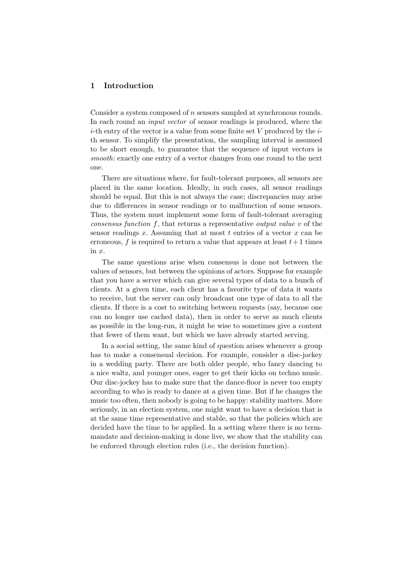# 1 Introduction

Consider a system composed of *n* sensors sampled at synchronous rounds. In each round an *input vector* of sensor readings is produced, where the  $i$ -th entry of the vector is a value from some finite set V produced by the  $i$ th sensor. To simplify the presentation, the sampling interval is assumed to be short enough, to guarantee that the sequence of input vectors is *smooth*: exactly one entry of a vector changes from one round to the next one.

There are situations where, for fault-tolerant purposes, all sensors are placed in the same location. Ideally, in such cases, all sensor readings should be equal. But this is not always the case; discrepancies may arise due to differences in sensor readings or to malfunction of some sensors. Thus, the system must implement some form of fault-tolerant averaging *consensus function* f, that returns a representative *output value* v of the sensor readings x. Assuming that at most t entries of a vector  $x$  can be erroneous, f is required to return a value that appears at least  $t+1$  times in x.

The same questions arise when consensus is done not between the values of sensors, but between the opinions of actors. Suppose for example that you have a server which can give several types of data to a bunch of clients. At a given time, each client has a favorite type of data it wants to receive, but the server can only broadcast one type of data to all the clients. If there is a cost to switching between requests (say, because one can no longer use cached data), then in order to serve as much clients as possible in the long-run, it might be wise to sometimes give a content that fewer of them want, but which we have already started serving.

In a social setting, the same kind of question arises whenever a group has to make a consensual decision. For example, consider a disc-jockey in a wedding party. There are both older people, who fancy dancing to a nice waltz, and younger ones, eager to get their kicks on techno music. Our disc-jockey has to make sure that the dance-floor is never too empty according to who is ready to dance at a given time. But if he changes the music too often, then nobody is going to be happy: stability matters. More seriously, in an election system, one might want to have a decision that is at the same time representative and stable, so that the policies which are decided have the time to be applied. In a setting where there is no termmandate and decision-making is done live, we show that the stability can be enforced through election rules (i.e., the decision function).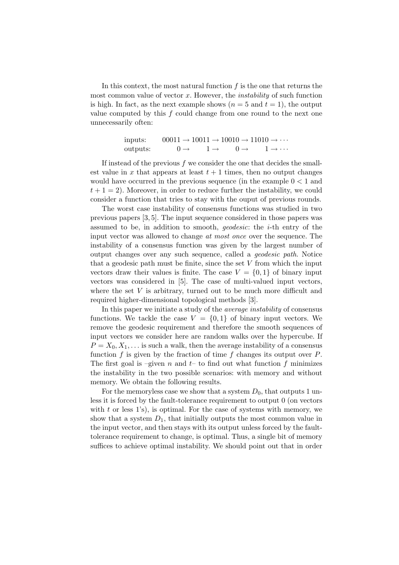In this context, the most natural function  $f$  is the one that returns the most common value of vector x. However, the *instability* of such function is high. In fact, as the next example shows  $(n = 5 \text{ and } t = 1)$ , the output value computed by this  $f$  could change from one round to the next one unnecessarily often:

> inputs:  $0.0011 \rightarrow 10011 \rightarrow 10010 \rightarrow 11010 \rightarrow \cdots$ <br>outputs:  $0 \rightarrow 1 \rightarrow 0 \rightarrow 1 \rightarrow \cdots$ outputs:

If instead of the previous  $f$  we consider the one that decides the smallest value in x that appears at least  $t + 1$  times, then no output changes would have occurred in the previous sequence (in the example  $0 < 1$  and  $t + 1 = 2$ . Moreover, in order to reduce further the instability, we could consider a function that tries to stay with the ouput of previous rounds.

The worst case instability of consensus functions was studied in two previous papers [3, 5]. The input sequence considered in those papers was assumed to be, in addition to smooth, *geodesic*: the i-th entry of the input vector was allowed to change *at most once* over the sequence. The instability of a consensus function was given by the largest number of output changes over any such sequence, called a *geodesic path*. Notice that a geodesic path must be finite, since the set  $V$  from which the input vectors draw their values is finite. The case  $V = \{0, 1\}$  of binary input vectors was considered in [5]. The case of multi-valued input vectors, where the set  $V$  is arbitrary, turned out to be much more difficult and required higher-dimensional topological methods [3].

In this paper we initiate a study of the *average instability* of consensus functions. We tackle the case  $V = \{0, 1\}$  of binary input vectors. We remove the geodesic requirement and therefore the smooth sequences of input vectors we consider here are random walks over the hypercube. If  $P = X_0, X_1, \ldots$  is such a walk, then the average instability of a consensus function  $f$  is given by the fraction of time  $f$  changes its output over  $P$ . The first goal is –given  $n$  and  $t-$  to find out what function  $f$  minimizes the instability in the two possible scenarios: with memory and without memory. We obtain the following results.

For the memoryless case we show that a system  $D_0$ , that outputs 1 unless it is forced by the fault-tolerance requirement to output 0 (on vectors with  $t$  or less 1's), is optimal. For the case of systems with memory, we show that a system  $D_1$ , that initially outputs the most common value in the input vector, and then stays with its output unless forced by the faulttolerance requirement to change, is optimal. Thus, a single bit of memory suffices to achieve optimal instability. We should point out that in order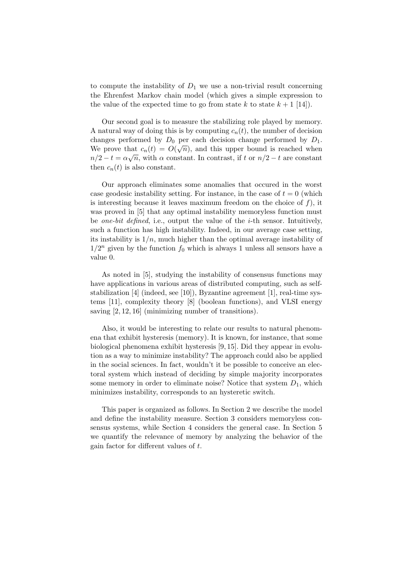to compute the instability of  $D_1$  we use a non-trivial result concerning the Ehrenfest Markov chain model (which gives a simple expression to the value of the expected time to go from state k to state  $k + 1$  [14]).

Our second goal is to measure the stabilizing role played by memory. A natural way of doing this is by computing  $c_n(t)$ , the number of decision changes performed by  $D_0$  per each decision change performed by  $D_1$ . We prove that  $c_n(t) = O(\sqrt{n})$ , and this upper bound is reached when  $n/2 - t = \alpha \sqrt{n}$ , with  $\alpha$  constant. In contrast, if t or  $n/2 - t$  are constant then  $c_n(t)$  is also constant.

Our approach eliminates some anomalies that occured in the worst case geodesic instability setting. For instance, in the case of  $t = 0$  (which is interesting because it leaves maximum freedom on the choice of  $f$ ), it was proved in [5] that any optimal instability memoryless function must be *one-bit defined*, i.e., output the value of the i-th sensor. Intuitively, such a function has high instability. Indeed, in our average case setting, its instability is  $1/n$ , much higher than the optimal average instability of  $1/2^n$  given by the function  $f_0$  which is always 1 unless all sensors have a value 0.

As noted in [5], studying the instability of consensus functions may have applications in various areas of distributed computing, such as selfstabilization [4] (indeed, see [10]), Byzantine agreement [1], real-time systems [11], complexity theory [8] (boolean functions), and VLSI energy saving [2, 12, 16] (minimizing number of transitions).

Also, it would be interesting to relate our results to natural phenomena that exhibit hysteresis (memory). It is known, for instance, that some biological phenomena exhibit hysteresis [9, 15]. Did they appear in evolution as a way to minimize instability? The approach could also be applied in the social sciences. In fact, wouldn't it be possible to conceive an electoral system which instead of deciding by simple majority incorporates some memory in order to eliminate noise? Notice that system  $D_1$ , which minimizes instability, corresponds to an hysteretic switch.

This paper is organized as follows. In Section 2 we describe the model and define the instability measure. Section 3 considers memoryless consensus systems, while Section 4 considers the general case. In Section 5 we quantify the relevance of memory by analyzing the behavior of the gain factor for different values of t.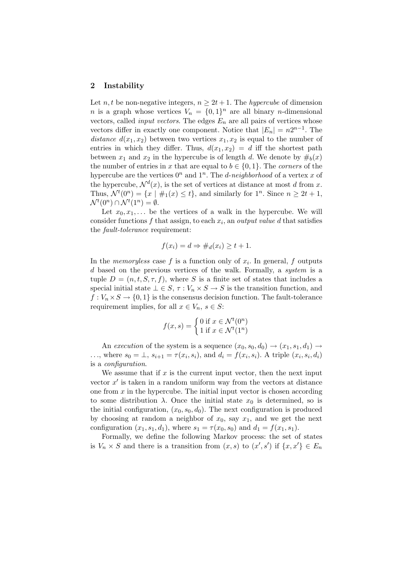# 2 Instability

Let *n*, *t* be non-negative integers,  $n \geq 2t + 1$ . The *hypercube* of dimension *n* is a graph whose vertices  $V_n = \{0, 1\}^n$  are all binary *n*-dimensional vectors, called *input vectors*. The edges  $E_n$  are all pairs of vertices whose vectors differ in exactly one component. Notice that  $|E_n| = n2^{n-1}$ . The *distance*  $d(x_1, x_2)$  between two vertices  $x_1, x_2$  is equal to the number of entries in which they differ. Thus,  $d(x_1, x_2) = d$  iff the shortest path between  $x_1$  and  $x_2$  in the hypercube is of length d. We denote by  $\#_b(x)$ the number of entries in x that are equal to  $b \in \{0, 1\}$ . The *corners* of the hypercube are the vertices  $0^n$  and  $1^n$ . The *d-neighborhood* of a vertex x of the hypercube,  $\mathcal{N}^d(x)$ , is the set of vertices at distance at most d from x. Thus,  $\mathcal{N}^t(0^n) = \{x \mid \#_1(x) \le t\}$ , and similarly for  $1^n$ . Since  $n \ge 2t + 1$ ,  $\mathcal{N}^t(0^n) \cap \mathcal{N}^t(1^n) = \emptyset.$ 

Let  $x_0, x_1, \ldots$  be the vertices of a walk in the hypercube. We will  $\text{consider functions } f \text{ that assign, to each } x_i \text{, an } output \text{ value } d \text{ that satisfies }$ the *fault-tolerance* requirement:

$$
f(x_i) = d \Rightarrow \#_d(x_i) \ge t + 1.
$$

In the *memoryless* case  $f$  is a function only of  $x_i$ . In general,  $f$  outputs d based on the previous vertices of the walk. Formally, a *system* is a tuple  $D = (n, t, S, \tau, f)$ , where S is a finite set of states that includes a special initial state  $\bot \in S$ ,  $\tau : V_n \times S \to S$  is the transition function, and  $f: V_n \times S \to \{0, 1\}$  is the consensus decision function. The fault-tolerance requirement implies, for all  $x \in V_n$ ,  $s \in S$ :

$$
f(x,s) = \begin{cases} 0 \text{ if } x \in \mathcal{N}^t(0^n) \\ 1 \text{ if } x \in \mathcal{N}^t(1^n) \end{cases}
$$

An *execution* of the system is a sequence  $(x_0, s_0, d_0) \rightarrow (x_1, s_1, d_1) \rightarrow$ ..., where  $s_0 = \bot$ ,  $s_{i+1} = \tau(x_i, s_i)$ , and  $d_i = f(x_i, s_i)$ . A triple  $(x_i, s_i, d_i)$ is a *configuration*.

We assume that if  $x$  is the current input vector, then the next input vector  $x'$  is taken in a random uniform way from the vectors at distance one from  $x$  in the hypercube. The initial input vector is chosen according to some distribution  $\lambda$ . Once the initial state  $x_0$  is determined, so is the initial configuration,  $(x_0, s_0, d_0)$ . The next configuration is produced by choosing at random a neighbor of  $x_0$ , say  $x_1$ , and we get the next configuration  $(x_1, s_1, d_1)$ , where  $s_1 = \tau(x_0, s_0)$  and  $d_1 = f(x_1, s_1)$ .

Formally, we define the following Markov process: the set of states is  $V_n \times S$  and there is a transition from  $(x, s)$  to  $(x', s')$  if  $\{x, x'\} \in E_n$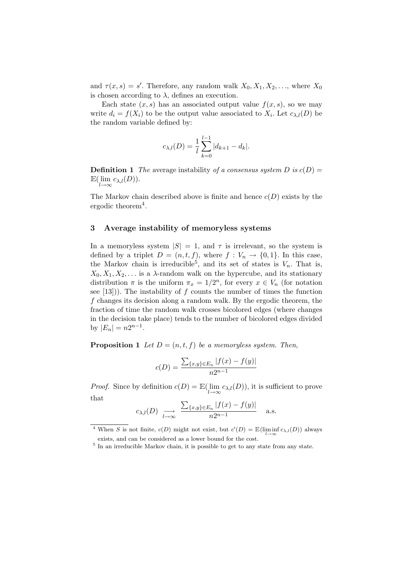and  $\tau(x, s) = s'$ . Therefore, any random walk  $X_0, X_1, X_2, \ldots$ , where  $X_0$ is chosen according to  $\lambda$ , defines an execution.

Each state  $(x, s)$  has an associated output value  $f(x, s)$ , so we may write  $d_i = f(X_i)$  to be the output value associated to  $X_i$ . Let  $c_{\lambda,i}(D)$  be the random variable defined by:

$$
c_{\lambda,l}(D) = \frac{1}{l} \sum_{k=0}^{l-1} |d_{k+1} - d_k|.
$$

**Definition 1** The average instability of a consensus system D is  $c(D)$  =  $\mathbb{E}(\lim$  $l\rightarrow\infty$  $c_{\lambda,l}(D)).$ 

The Markov chain described above is finite and hence  $c(D)$  exists by the  $ergodic$  theorem<sup>4</sup>.

## 3 Average instability of memoryless systems

In a memoryless system  $|S| = 1$ , and  $\tau$  is irrelevant, so the system is defined by a triplet  $D = (n, t, f)$ , where  $f: V_n \to \{0, 1\}$ . In this case, the Markov chain is irreducible<sup>5</sup>, and its set of states is  $V_n$ . That is,  $X_0, X_1, X_2, \ldots$  is a  $\lambda$ -random walk on the hypercube, and its stationary distribution  $\pi$  is the uniform  $\pi_x = 1/2^n$ , for every  $x \in V_n$  (for notation see  $[13]$ ). The instability of f counts the number of times the function f changes its decision along a random walk. By the ergodic theorem, the fraction of time the random walk crosses bicolored edges (where changes in the decision take place) tends to the number of bicolored edges divided by  $|E_n| = n2^{n-1}$ .

**Proposition 1** Let  $D = (n, t, f)$  be a memoryless system. Then,

$$
c(D) = \frac{\sum_{\{x,y\} \in E_n} |f(x) - f(y)|}{n2^{n-1}}
$$

*Proof.* Since by definition  $c(D) = \mathbb{E}(\lim D)$  $l\rightarrow\infty$  $c_{\lambda,l}(D)$ , it is sufficient to prove that

$$
c_{\lambda,l}(D) \xrightarrow[l \to \infty]{} \frac{\sum_{\{x,y\} \in E_n} |f(x) - f(y)|}{n2^{n-1}}
$$
 a.s.

<sup>&</sup>lt;sup>4</sup> When S is not finite,  $c(D)$  might not exist, but  $c'(D) = \mathbb{E}(\liminf c_{\lambda,l}(D))$  always  $l\rightarrow\infty$ exists, and can be considered as a lower bound for the cost.

<sup>&</sup>lt;sup>5</sup> In an irreducible Markov chain, it is possible to get to any state from any state.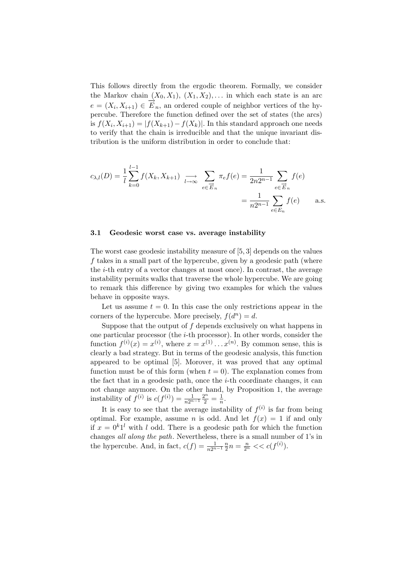This follows directly from the ergodic theorem. Formally, we consider the Markov chain  $(X_0, X_1), (X_1, X_2), \ldots$  in which each state is an arc  $e = (X_i, X_{i+1}) \in \overrightarrow{E}_n$ , an ordered couple of neighbor vertices of the hypercube. Therefore the function defined over the set of states (the arcs) is  $f(X_i, X_{i+1}) = |f(X_{k+1}) - f(X_k)|$ . In this standard approach one needs to verify that the chain is irreducible and that the unique invariant distribution is the uniform distribution in order to conclude that:

$$
c_{\lambda,l}(D) = \frac{1}{l} \sum_{k=0}^{l-1} f(X_k, X_{k+1}) \xrightarrow[l \to \infty]{} \sum_{e \in \overrightarrow{E}_n} \pi_e f(e) = \frac{1}{2n2^{n-1}} \sum_{e \in \overrightarrow{E}_n} f(e)
$$
  
= 
$$
\frac{1}{n2^{n-1}} \sum_{e \in E_n} f(e) \qquad \text{a.s.}
$$

#### 3.1 Geodesic worst case vs. average instability

The worst case geodesic instability measure of [5, 3] depends on the values f takes in a small part of the hypercube, given by a geodesic path (where the i-th entry of a vector changes at most once). In contrast, the average instability permits walks that traverse the whole hypercube. We are going to remark this difference by giving two examples for which the values behave in opposite ways.

Let us assume  $t = 0$ . In this case the only restrictions appear in the corners of the hypercube. More precisely,  $f(d^n) = d$ .

Suppose that the output of f depends exclusively on what happens in one particular processor (the  $i$ -th processor). In other words, consider the function  $f^{(i)}(x) = x^{(i)}$ , where  $x = x^{(1)} \dots x^{(n)}$ . By common sense, this is clearly a bad strategy. But in terms of the geodesic analysis, this function appeared to be optimal [5]. Morover, it was proved that any optimal function must be of this form (when  $t = 0$ ). The explanation comes from the fact that in a geodesic path, once the  $i$ -th coordinate changes, it can not change anymore. On the other hand, by Proposition 1, the average instability of  $f^{(i)}$  is  $c(f^{(i)}) = \frac{1}{n2^{n-1}} \frac{2^n}{2} = \frac{1}{n}$  $\frac{1}{n}$ .

It is easy to see that the average instability of  $f^{(i)}$  is far from being optimal. For example, assume *n* is odd. And let  $f(x) = 1$  if and only if  $x = 0<sup>k</sup>1<sup>l</sup>$  with l odd. There is a geodesic path for which the function changes *all along the path*. Nevertheless, there is a small number of 1's in the hypercube. And, in fact,  $c(f) = \frac{1}{n2^{n-1}}\frac{n}{2}$  $\frac{n}{2}n = \frac{n}{2^n} \ll c(f^{(i)}).$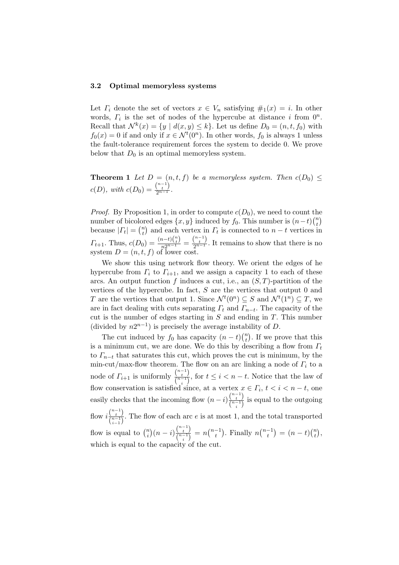## 3.2 Optimal memoryless systems

Let  $\Gamma_i$  denote the set of vectors  $x \in V_n$  satisfying  $\#_1(x) = i$ . In other words,  $\Gamma_i$  is the set of nodes of the hypercube at distance i from  $0^n$ . Recall that  $\mathcal{N}^k(x) = \{y \mid d(x, y) \leq k\}$ . Let us define  $D_0 = (n, t, f_0)$  with  $f_0(x) = 0$  if and only if  $x \in \mathcal{N}^t(0^n)$ . In other words,  $f_0$  is always 1 unless the fault-tolerance requirement forces the system to decide 0. We prove below that  $D_0$  is an optimal memoryless system.

**Theorem 1** Let  $D = (n, t, f)$  be a memoryless system. Then  $c(D_0) \leq$  $c(D)$ *, with*  $c(D_0) = \frac{\binom{n-1}{t}}{2^{n-1}}$ *.* 

*Proof.* By Proposition 1, in order to compute  $c(D_0)$ , we need to count the number of bicolored edges  $\{x, y\}$  induced by f<sub>0</sub>. This number is  $(n-t)$ <sup>n</sup>  $\binom{n}{t}$ because  $| \Gamma_t | = \binom{n}{t}$  and each vertex in  $\Gamma_t$  is connected to  $n-t$  vertices in  $\binom{n}{t}$  and each vertex in  $\Gamma_t$  $\Gamma_{t+1}$ . Thus,  $c(D_0) = \frac{(n-t)\binom{n}{t}}{n2^{n-1}} = \frac{\binom{n-1}{t}}{2^{n-1}}$ . It remains to show that there is no system  $D = (n, t, f)$  of lower cost.

We show this using network flow theory. We orient the edges of he hypercube from  $\Gamma_i$  to  $\Gamma_{i+1}$ , and we assign a capacity 1 to each of these arcs. An output function f induces a cut, i.e., an  $(S, T)$ -partition of the vertices of the hypercube. In fact,  $S$  are the vertices that output 0 and T are the vertices that output 1. Since  $\mathcal{N}^t(0^n) \subseteq S$  and  $\mathcal{N}^t(1^n) \subseteq T$ , we are in fact dealing with cuts separating  $\Gamma_t$  and  $\Gamma_{n-t}$ . The capacity of the cut is the number of edges starting in  $S$  and ending in  $T$ . This number (divided by  $n2^{n-1}$ ) is precisely the average instability of D.

The cut induced by  $f_0$  has capacity  $(n-t)$  $\binom{n}{t}$  $\binom{n}{t}$ . If we prove that this is a minimum cut, we are done. We do this by describing a flow from  $\Gamma_t$ to  $\Gamma_{n-t}$  that saturates this cut, which proves the cut is minimum, by the min-cut/max-flow theorem. The flow on an arc linking a node of  $\Gamma_i$  to a node of  $\Gamma_{i+1}$  is uniformly  $\frac{\binom{n-1}{t}}{\binom{n-1}{t}}$  $\frac{\binom{t}{n-1}}{\binom{n-1}{i}}$ , for  $t \leq i < n-t$ . Notice that the law of flow conservation is satisfied since, at a vertex  $x \in \Gamma_i$ ,  $t < i < n-t$ , one easily checks that the incoming flow  $(n-i)\frac{\binom{n-1}{t}}{\binom{n-1}{t}}$  $\frac{\binom{t}{t-1}}{\binom{n-1}{i}}$  is equal to the outgoing flow  $i^{(n-1)}_{(n-1)}$  $\frac{\binom{t}{n-1}}{\binom{n-1}{i}}$ . The flow of each arc *e* is at most 1, and the total transported  $i-1$ flow is equal to  $\binom{n}{i}$  $\binom{n}{i}(n-i)\frac{\binom{n-1}{t}}{\binom{n-1}{t}}$  $\frac{\binom{n-1}{t}}{\binom{n-1}{t}} = n\binom{n-1}{t}$ . Finally  $n\binom{n-1}{t} = (n-t)\binom{n}{t}$  $\binom{n}{t},$ which is equal to the capacity of the cut.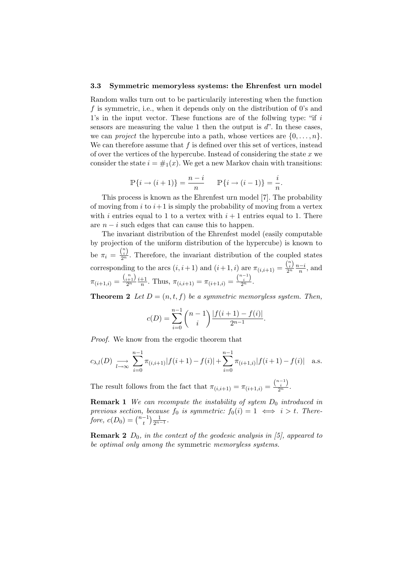#### 3.3 Symmetric memoryless systems: the Ehrenfest urn model

Random walks turn out to be particularily interesting when the function f is symmetric, i.e., when it depends only on the distribution of 0's and 1's in the input vector. These functions are of the follwing type: "if  $i$ sensors are measuring the value 1 then the output is  $d$ . In these cases, we can *project* the hypercube into a path, whose vertices are  $\{0, \ldots, n\}$ . We can therefore assume that  $f$  is defined over this set of vertices, instead of over the vertices of the hypercube. Instead of considering the state  $x$  we consider the state  $i = #_1(x)$ . We get a new Markov chain with transitions:

$$
\mathbb{P}\{i \to (i+1)\} = \frac{n-i}{n} \qquad \mathbb{P}\{i \to (i-1)\} = \frac{i}{n}.
$$

This process is known as the Ehrenfest urn model [7]. The probability of moving from i to  $i+1$  is simply the probability of moving from a vertex with i entries equal to 1 to a vertex with  $i + 1$  entries equal to 1. There are  $n - i$  such edges that can cause this to happen.

The invariant distribution of the Ehrenfest model (easily computable by projection of the uniform distribution of the hypercube) is known to be  $\pi_i = \frac{\binom{n}{i}}{2^n}$ . Therefore, the invariant distribution of the coupled states corresponding to the arcs  $(i, i+1)$  and  $(i+1, i)$  are  $\pi_{(i,i+1)} = \frac{\binom{n}{i}}{2^n}$  $\frac{1}{2^n} \frac{n-i}{n}$ , and  $\pi_{(i+1,i)} = \frac{\binom{n}{i+1}}{2^n}$  $\frac{i+1}{2^n} \frac{i+1}{n}$  $\frac{+1}{n}$ . Thus,  $\pi_{(i,i+1)} = \pi_{(i+1,i)} = \frac{\binom{n-1}{i}}{2^n}$ .

**Theorem 2** Let  $D = (n, t, f)$  be a symmetric memoryless system. Then,

$$
c(D) = \sum_{i=0}^{n-1} {n-1 \choose i} \frac{|f(i+1) - f(i)|}{2^{n-1}}.
$$

*Proof.* We know from the ergodic theorem that

$$
c_{\lambda,l}(D) \underset{l \to \infty}{\longrightarrow} \sum_{i=0}^{n-1} \pi_{(i,i+1)} |f(i+1) - f(i)| + \sum_{i=0}^{n-1} \pi_{(i+1,i)} |f(i+1) - f(i)| \text{ a.s.}
$$

The result follows from the fact that  $\pi_{(i,i+1)} = \pi_{(i+1,i)} = \frac{\binom{n-1}{i}}{2^n}$ .

**Remark 1** We can recompute the instability of sytem  $D_0$  introduced in *previous section, because*  $f_0$  *is symmetric:*  $f_0(i) = 1 \iff i > t$ . There*fore,*  $c(D_0) = \binom{n-1}{t} \frac{1}{2^{n-1}}$ .

Remark 2 D0*, in the context of the geodesic analysis in [5], appeared to be optimal only among the* symmetric *memoryless systems.*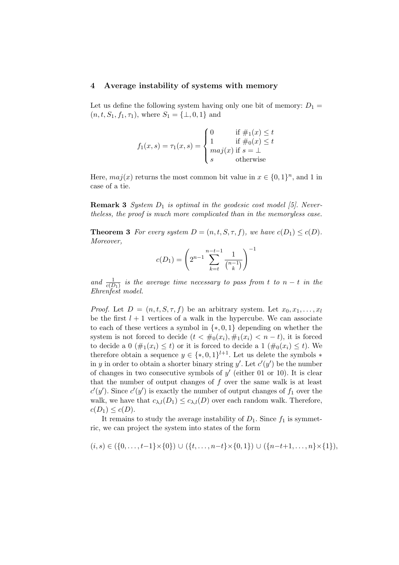## 4 Average instability of systems with memory

Let us define the following system having only one bit of memory:  $D_1 =$  $(n, t, S_1, f_1, \tau_1)$ , where  $S_1 = {\{\perp, 0, 1\}}$  and

$$
f_1(x, s) = \tau_1(x, s) = \begin{cases} 0 & \text{if } \#_1(x) \le t \\ 1 & \text{if } \#_0(x) \le t \\ maj(x) & \text{if } s = \bot \\ s & \text{otherwise} \end{cases}
$$

Here,  $maj(x)$  returns the most common bit value in  $x \in \{0, 1\}^n$ , and 1 in case of a tie.

**Remark 3** *System*  $D_1$  *is optimal in the geodesic cost model* [5]. Never*theless, the proof is much more complicated than in the memoryless case.*

**Theorem 3** For every system  $D = (n, t, S, \tau, f)$ , we have  $c(D_1) \leq c(D)$ . *Moreover,*

$$
c(D_1) = \left(2^{n-1} \sum_{k=t}^{n-t-1} \frac{1}{\binom{n-1}{k}}\right)^{-1}
$$

and  $\frac{1}{c(D_1)}$  *is the average time necessary to pass from t to*  $n - t$  *in the Ehrenfest model.*

*Proof.* Let  $D = (n, t, S, \tau, f)$  be an arbitrary system. Let  $x_0, x_1, \ldots, x_l$ be the first  $l + 1$  vertices of a walk in the hypercube. We can associate to each of these vertices a symbol in  $\{*,0,1\}$  depending on whether the system is not forced to decide  $(t < #_0(x_i), #_1(x_i) < n-t)$ , it is forced to decide a 0  $(\#_1(x_i) \leq t)$  or it is forced to decide a 1  $(\#_0(x_i) \leq t)$ . We therefore obtain a sequence  $y \in \{*,0,1\}^{l+1}$ . Let us delete the symbols  $*$ in y in order to obtain a shorter binary string y'. Let  $c'(y')$  be the number of changes in two consecutive symbols of  $y'$  (either 01 or 10). It is clear that the number of output changes of f over the same walk is at least  $c'(y')$ . Since  $c'(y')$  is exactly the number of output changes of  $f_1$  over the walk, we have that  $c_{\lambda,l}(D_1) \leq c_{\lambda,l}(D)$  over each random walk. Therefore,  $c(D_1) \leq c(D)$ .

It remains to study the average instability of  $D_1$ . Since  $f_1$  is symmetric, we can project the system into states of the form

$$
(i, s) \in (\{0, \ldots, t-1\} \times \{0\}) \cup (\{t, \ldots, n-t\} \times \{0, 1\}) \cup (\{n-t+1, \ldots, n\} \times \{1\}),
$$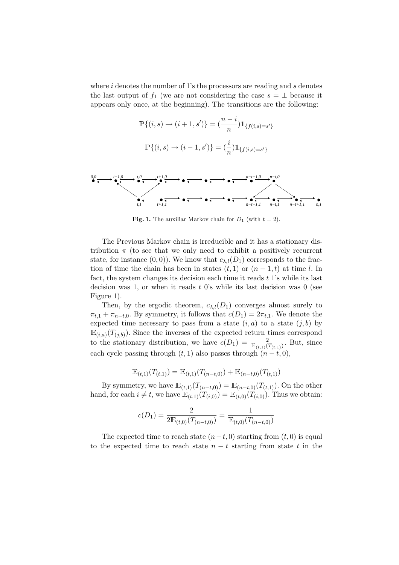where  $i$  denotes the number of 1's the processors are reading and  $s$  denotes the last output of  $f_1$  (we are not considering the case  $s = \perp$  because it appears only once, at the beginning). The transitions are the following:

$$
\mathbb{P}\{(i,s) \to (i+1,s')\} = (\frac{n-i}{n})\mathbf{1}_{\{f(i,s)=s'\}}
$$

$$
\mathbb{P}\{(i,s) \to (i-1,s')\} = (\frac{i}{n})\mathbf{1}_{\{f(i,s)=s'\}}
$$



**Fig. 1.** The auxiliar Markov chain for  $D_1$  (with  $t = 2$ ).

The Previous Markov chain is irreducible and it has a stationary distribution  $\pi$  (to see that we only need to exhibit a positively recurrent state, for instance  $(0,0)$ . We know that  $c_{\lambda,l}(D_1)$  corresponds to the fraction of time the chain has been in states  $(t, 1)$  or  $(n - 1, t)$  at time l. In fact, the system changes its decision each time it reads  $t$  1's while its last decision was 1, or when it reads  $t$  0's while its last decision was 0 (see Figure 1).

Then, by the ergodic theorem,  $c_{\lambda,l}(D_1)$  converges almost surely to  $\pi_{t,1} + \pi_{n-t,0}$ . By symmetry, it follows that  $c(D_1) = 2\pi_{t,1}$ . We denote the expected time necessary to pass from a state  $(i, a)$  to a state  $(j, b)$  by  $\mathbb{E}_{(i,a)}(T_{(j,b)})$ . Since the inverses of the expected return times correspond to the stationary distribution, we have  $c(D_1) = \frac{2}{\mathbb{E}_{(t,1)}(T_{(t,1)})}$ . But, since each cycle passing through  $(t, 1)$  also passes through  $(n - t, 0)$ .

$$
\mathbb{E}_{(t,1)}(T_{(t,1)}) = \mathbb{E}_{(t,1)}(T_{(n-t,0)}) + \mathbb{E}_{(n-t,0)}(T_{(t,1)})
$$

By symmetry, we have  $\mathbb{E}_{(t,1)}(T_{(n-t,0)}) = \mathbb{E}_{(n-t,0)}(T_{(t,1)})$ . On the other hand, for each  $i \neq t$ , we have  $\mathbb{E}_{(t,1)}(T_{(i,0)}) = \mathbb{E}_{(t,0)}(T_{(i,0)})$ . Thus we obtain:

$$
c(D_1) = \frac{2}{2\mathbb{E}_{(t,0)}(T_{(n-t,0)})} = \frac{1}{\mathbb{E}_{(t,0)}(T_{(n-t,0)})}
$$

The expected time to reach state  $(n-t, 0)$  starting from  $(t, 0)$  is equal to the expected time to reach state  $n - t$  starting from state t in the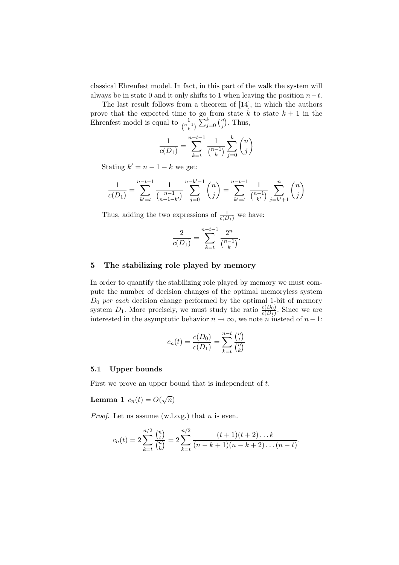classical Ehrenfest model. In fact, in this part of the walk the system will always be in state 0 and it only shifts to 1 when leaving the position  $n-t$ .

The last result follows from a theorem of [14], in which the authors prove that the expected time to go from state  $k$  to state  $k+1$  in the Ehrenfest model is equal to  $\frac{1}{\binom{n-1}{k}} \sum_{j=0}^{k} \binom{n}{j}$  $\binom{n}{j}$ . Thus,

$$
\frac{1}{c(D_1)} = \sum_{k=t}^{n-t-1} \frac{1}{\binom{n-1}{k}} \sum_{j=0}^{k} \binom{n}{j}
$$

Stating  $k' = n - 1 - k$  we get:

$$
\frac{1}{c(D_1)} = \sum_{k'=t}^{n-t-1} \frac{1}{\binom{n-1}{n-1-k'}} \sum_{j=0}^{n-k'-1} \binom{n}{j} = \sum_{k'=t}^{n-t-1} \frac{1}{\binom{n-1}{k'}} \sum_{j=k'+1}^{n} \binom{n}{j}
$$

Thus, adding the two expressions of  $\frac{1}{c(D_1)}$  we have:

$$
\frac{2}{c(D_1)} = \sum_{k=t}^{n-t-1} \frac{2^n}{\binom{n-1}{k}}.
$$

# 5 The stabilizing role played by memory

In order to quantify the stabilizing role played by memory we must compute the number of decision changes of the optimal memoryless system D<sup>0</sup> *per each* decision change performed by the optimal 1-bit of memory system  $D_1$ . More precisely, we must study the ratio  $\frac{c(D_0)}{c(D_1)}$ . Since we are interested in the asymptotic behavior  $n \to \infty$ , we note *n* instead of  $n-1$ :

$$
c_n(t) = \frac{c(D_0)}{c(D_1)} = \sum_{k=t}^{n-t} \frac{\binom{n}{t}}{\binom{n}{k}}
$$

## 5.1 Upper bounds

First we prove an upper bound that is independent of t.

Lemma 1  $c_n(t) = O(\sqrt{n})$ 

*Proof.* Let us assume  $(w.l.o.g.)$  that *n* is even.

$$
c_n(t) = 2\sum_{k=t}^{n/2} \frac{\binom{n}{t}}{\binom{n}{k}} = 2\sum_{k=t}^{n/2} \frac{(t+1)(t+2)\dots k}{(n-k+1)(n-k+2)\dots(n-t)}.
$$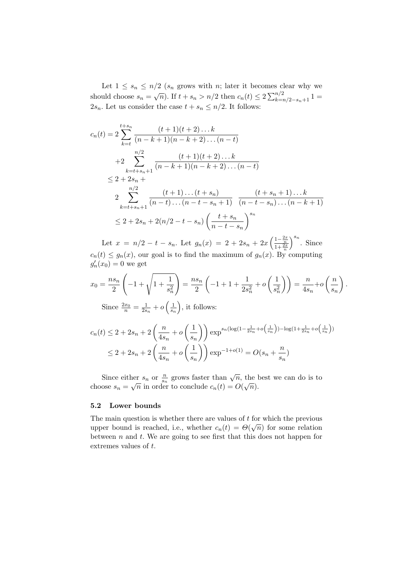Let  $1 \leq s_n \leq n/2$  ( $s_n$  grows with n; later it becomes clear why we should choose  $s_n = \sqrt{n}$ . If  $t + s_n > n/2$  then  $c_n(t) \leq 2 \sum_{k=n/2-s_n+1}^{n/2} 1 =$  $2s_n$ . Let us consider the case  $t + s_n \leq n/2$ . It follows:

$$
c_n(t) = 2 \sum_{k=t}^{t+s_n} \frac{(t+1)(t+2)\dots k}{(n-k+1)(n-k+2)\dots(n-t)}
$$
  
+2 
$$
\sum_{k=t+s_n+1}^{n/2} \frac{(t+1)(t+2)\dots k}{(n-k+1)(n-k+2)\dots(n-t)}
$$
  

$$
\leq 2 + 2s_n +
$$
  
2 
$$
\sum_{k=t+s_n+1}^{n/2} \frac{(t+1)\dots(t+s_n)}{(n-t)\dots(n-t-s_n+1)} \frac{(t+s_n+1)\dots k}{(n-t-s_n)\dots(n-k+1)}
$$
  

$$
\leq 2 + 2s_n + 2(n/2 - t - s_n) \left(\frac{t+s_n}{n-t-s_n}\right)^{s_n}
$$

Let  $x = n/2 - t - s_n$ . Let  $g_n(x) = 2 + 2s_n + 2x \left( \frac{1 - \frac{2x}{n}}{1 + \frac{2x}{n}} \right)$  $\int^{s_n}$ . Since  $c_n(t) \leq g_n(x)$ , our goal is to find the maximum of  $g_n(x)$ . By computing  $g'_n(x_0) = 0$  we get

$$
x_0 = \frac{ns_n}{2} \left( -1 + \sqrt{1 + \frac{1}{s_n^2}} \right) = \frac{ns_n}{2} \left( -1 + 1 + \frac{1}{2s_n^2} + o\left(\frac{1}{s_n^2}\right) \right) = \frac{n}{4s_n} + o\left(\frac{n}{s_n}\right).
$$
  
Since  $\frac{2x_0}{n} = \frac{1}{2s_n} + o\left(\frac{1}{s_n}\right)$ , it follows:

$$
c_n(t) \le 2 + 2s_n + 2\left(\frac{n}{4s_n} + o\left(\frac{1}{s_n}\right)\right) \exp^{s_n(\log(1 - \frac{1}{2s_n} + o\left(\frac{1}{s_n}\right)) - \log(1 + \frac{1}{2s_n} + o\left(\frac{1}{s_n}\right))}
$$
  

$$
\le 2 + 2s_n + 2\left(\frac{n}{4s_n} + o\left(\frac{1}{s_n}\right)\right) \exp^{-1+o(1)} = O(s_n + \frac{n}{s_n})
$$

Since either  $s_n$  or  $\frac{n}{s_n}$  grows faster than  $\sqrt{n}$ , the best we can do is to choose  $s_n = \sqrt{n}$  in order to conclude  $c_n(t) = O(\sqrt{n}).$ 

## 5.2 Lower bounds

The main question is whether there are values of  $t$  for which the previous upper bound is reached, i.e., whether  $c_n(t) = \Theta(\sqrt{n})$  for some relation between  $n$  and  $t$ . We are going to see first that this does not happen for extremes values of t.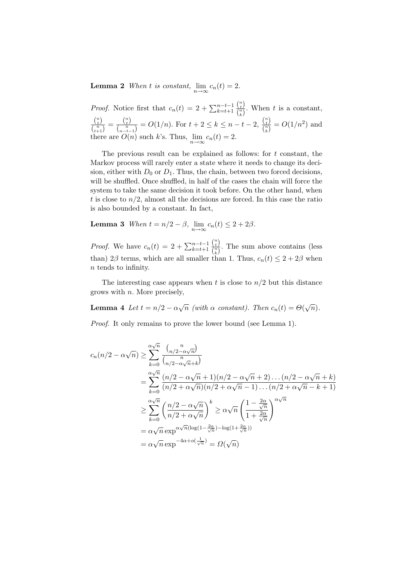**Lemma 2** When t is constant,  $\lim_{n \to \infty} c_n(t) = 2$ .

*Proof.* Notice first that  $c_n(t) = 2 + \sum_{k=t+1}^{n-t-1}$  $\binom{n}{t}$  $\frac{\binom{t}{t}}{\binom{n}{k}}$ . When t is a constant,  $\binom{n}{t}$  $\frac{\binom{n}{t}}{\binom{n}{t+1}} = \frac{\binom{n}{t}}{\binom{n}{n-t-1}}$  $\frac{\binom{n}{t}}{\binom{n}{n-t-1}} = O(1/n)$ . For  $t+2 \leq k \leq n-t-2$ ,  $\frac{\binom{n}{t}}{\binom{n}{k}}$ there are  $O(n)$  such k's. Thus,  $\lim_{n\to\infty} c_n(t) = 2$ .  $\frac{\binom{t}{t}}{\binom{n}{k}} = O(1/n^2)$  and

The previous result can be explained as follows: for  $t$  constant, the Markov process will rarely enter a state where it needs to change its decision, either with  $D_0$  or  $D_1$ . Thus, the chain, between two forced decisions, will be shuffled. Once shuffled, in half of the cases the chain will force the system to take the same decision it took before. On the other hand, when t is close to  $n/2$ , almost all the decisions are forced. In this case the ratio is also bounded by a constant. In fact,

**Lemma 3** *When*  $t = n/2 - \beta$ ,  $\lim_{n \to \infty} c_n(t) \leq 2 + 2\beta$ .

*Proof.* We have  $c_n(t) = 2 + \sum_{k=t+1}^{n-t-1}$  $\binom{n}{t}$  $\frac{\binom{t}{t}}{\binom{n}{k}}$ . The sum above contains (less than)  $2\beta$  terms, which are all smaller than 1. Thus,  $c_n(t) \leq 2 + 2\beta$  when n tends to infinity.

The interesting case appears when t is close to  $n/2$  but this distance grows with  $n$ . More precisely,

Lemma 4 Let  $t = n/2 - \alpha \sqrt{n}$  (with  $\alpha$  constant). Then  $c_n(t) = \Theta(\sqrt{n})$ .

*Proof.* It only remains to prove the lower bound (see Lemma 1).

$$
c_n(n/2 - \alpha\sqrt{n}) \ge \sum_{k=0}^{\alpha\sqrt{n}} \frac{\binom{n}{n/2 - \alpha\sqrt{n}}}{\binom{n}{n/2 - \alpha\sqrt{n} + k}} = \sum_{k=0}^{\alpha\sqrt{n}} \frac{(n/2 - \alpha\sqrt{n} + 1)(n/2 - \alpha\sqrt{n} + 2) \dots (n/2 - \alpha\sqrt{n} + k)}{(n/2 + \alpha\sqrt{n})(n/2 + \alpha\sqrt{n} - 1) \dots (n/2 + \alpha\sqrt{n} - k + 1)} \ge \sum_{k=0}^{\alpha\sqrt{n}} \left(\frac{n/2 - \alpha\sqrt{n}}{n/2 + \alpha\sqrt{n}}\right)^k \ge \alpha\sqrt{n} \left(\frac{1 - \frac{2\alpha}{\sqrt{n}}}{1 + \frac{2\alpha}{\sqrt{n}}}\right)^{\alpha\sqrt{n}} = \alpha\sqrt{n} \exp^{\alpha\sqrt{n}(\log(1 - \frac{2\alpha}{\sqrt{n}})) - \log(1 + \frac{2\alpha}{\sqrt{n}}))} = \alpha\sqrt{n} \exp^{-4\alpha + o(\frac{1}{\sqrt{n}})} = \Omega(\sqrt{n})
$$